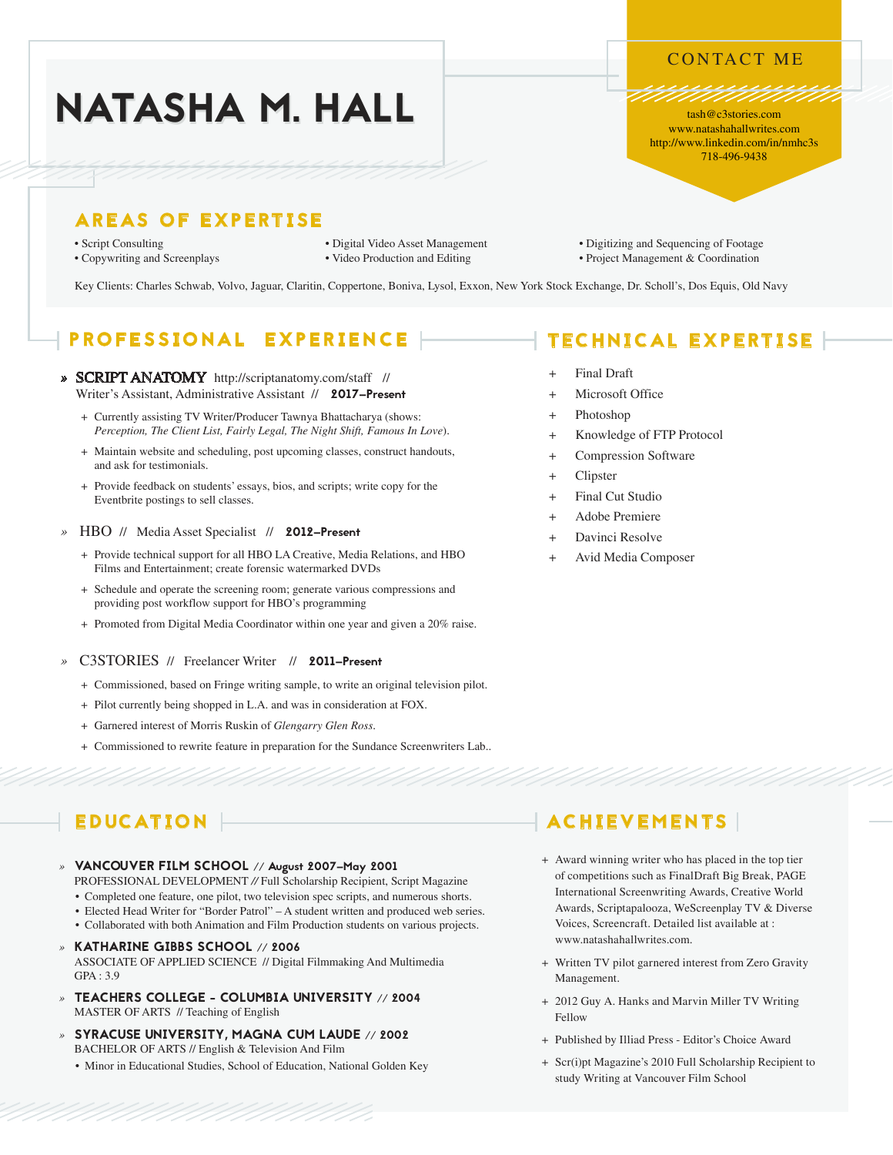### CONTACT ME

tash@c3stories.com www.natashahallwrites.com http://www.linkedin.com/in/nmhc3s 718-496-9438

# NATASHA M. HALL

## AREAS OF EXPERTISE

- 
- 
- 
- Script Consulting Digital Video Asset Management Digitizing and Sequencing of Footage
- Copywriting and Screenplays Video Production and Editing Project Management & Coordination

Key Clients: Charles Schwab, Volvo, Jaguar, Claritin, Coppertone, Boniva, Lysol, Exxon, New York Stock Exchange, Dr. Scholl's, Dos Equis, Old Navy

# PROFESSIONAL EXPERIENCE

- *»* SCRIPT ANATOMY<http://scriptanatomy.com/staff>// Writer's Assistant, Administrative Assistant // 2017–Present
	- + Currently assisting TV Writer/Producer Tawnya Bhattacharya (shows: *Perception, The Client List, Fairly Legal, The Night Shift, Famous In Love*).
	- + Maintain website and scheduling, post upcoming classes, construct handouts, and ask for testimonials.
	- + Provide feedback on students' essays, bios, and scripts; write copy for the Eventbrite postings to sell classes.
- *»* HBO// Media Asset Specialist // 2012–Present
	- + Provide technical support for all HBO LA Creative, Media Relations, and HBO Films and Entertainment; create forensic watermarked DVDs
	- + Schedule and operate the screening room; generate various compressions and providing post workflow support for HBO's programming
	- + Promoted from Digital Media Coordinator within one year and given a 20% raise.

#### C3STORIES // Freelancer Writer // 2011–Present

- + Commissioned, based on Fringe writing sample, to write an original television pilot.
- + Pilot currently being shopped in L.A. and was in consideration at FOX.
- + Garnered interest of Morris Ruskin of *Glengarry Glen Ross*.
- + Commissioned to rewrite feature in preparation for the Sundance Screenwriters Lab..

# EDUCATION

### *»* VANCOUVER FILM SCHOOL // August 2007–May 2001

- PROFESSIONAL DEVELOPMENT *//* Full Scholarship Recipient, Script Magazine
- Completed one feature, one pilot, two television spec scripts, and numerous shorts.
- Elected Head Writer for "Border Patrol" A student written and produced web series.
- Collaborated with both Animation and Film Production students on various projects.
- *»* KATHARINE GIBBS SCHOOL // 2006 ASSOCIATE OF APPLIED SCIENCE // Digital Filmmaking And Multimedia  $GPA \cdot 3.9$
- *»* TEACHERS COLLEGE COLUMBIA UNIVERSITY // 2004 MASTER OF ARTS // Teaching of English
- *»* SYRACUSE UNIVERSITY, MAGNA CUM LAUDE // 2002 BACHELOR OF ARTS // English & Television And Film
	- Minor in Educational Studies, School of Education, National Golden Key

# TECHNICAL EXPERTISE

- **Final Draft**
- Microsoft Office
- Photoshop
- + Knowledge of FTP Protocol
- + Compression Software
- **Clipster**
- + Final Cut Studio
- Adobe Premiere
- Davinci Resolve
- Avid Media Composer

# ACHIEVEMENTS

- + Award winning writer who has placed in the top tier of competitions such as FinalDraft Big Break, PAGE International Screenwriting Awards, Creative World Awards, Scriptapalooza, WeScreenplay TV & Diverse Voices, Screencraft. Detailed list available at : www.natashahallwrites.com.
- + Written TV pilot garnered interest from Zero Gravity Management.
- + 2012 Guy A. Hanks and Marvin Miller TV Writing Fellow
- + Published by Illiad Press Editor's Choice Award
- + Scr(i)pt Magazine's 2010 Full Scholarship Recipient to study Writing at Vancouver Film School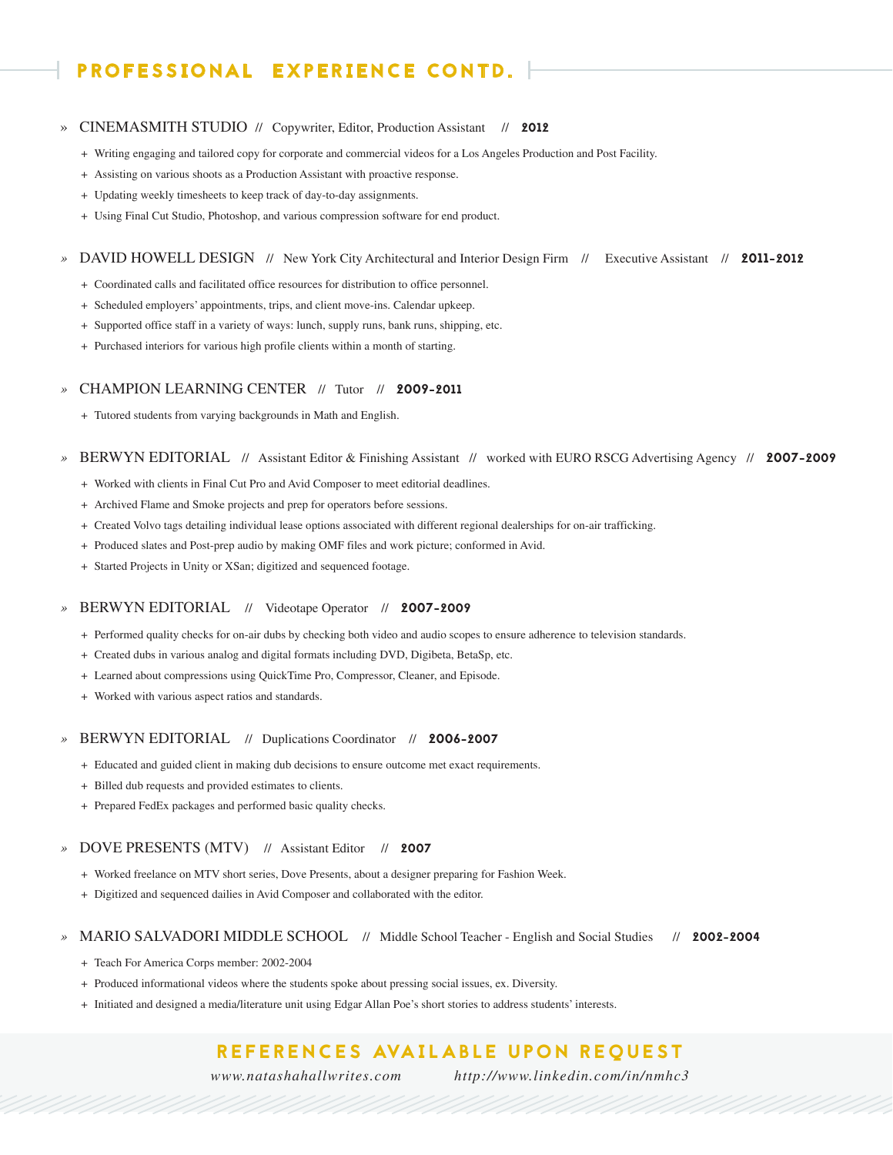# PROFESSIONAL EXPERIENCE CONTD.

#### » CINEMASMITH STUDIO // Copywriter, Editor, Production Assistant // 2012

- + Writing engaging and tailored copy for corporate and commercial videos for a Los Angeles Production and Post Facility.
- + Assisting on various shoots as a Production Assistant with proactive response.
- + Updating weekly timesheets to keep track of day-to-day assignments.
- + Using Final Cut Studio, Photoshop, and various compression software for end product.

#### *»* DAVID HOWELL DESIGN// New York City Architectural and Interior Design Firm // Executive Assistant // 2011-2012

- + Coordinated calls and facilitated office resources for distribution to office personnel.
- + Scheduled employers' appointments, trips, and client move-ins. Calendar upkeep.
- + Supported office staff in a variety of ways: lunch, supply runs, bank runs, shipping, etc.
- + Purchased interiors for various high profile clients within a month of starting.

#### *»* CHAMPION LEARNING CENTER// Tutor // 2009-2011

+ Tutored students from varying backgrounds in Math and English.

#### *»* BERWYN EDITORIAL// Assistant Editor & Finishing Assistant // worked with EURO RSCG Advertising Agency // 2007-2009

- + Worked with clients in Final Cut Pro and Avid Composer to meet editorial deadlines.
- + Archived Flame and Smoke projects and prep for operators before sessions.
- + Created Volvo tags detailing individual lease options associated with different regional dealerships for on-air trafficking.
- + Produced slates and Post-prep audio by making OMF files and work picture; conformed in Avid.
- + Started Projects in Unity or XSan; digitized and sequenced footage.

#### *»* BERWYN EDITORIAL // Videotape Operator // 2007-2009

- + Performed quality checks for on-air dubs by checking both video and audio scopes to ensure adherence to television standards.
- + Created dubs in various analog and digital formats including DVD, Digibeta, BetaSp, etc.
- + Learned about compressions using QuickTime Pro, Compressor, Cleaner, and Episode.
- + Worked with various aspect ratios and standards.

#### *»* BERWYN EDITORIAL // Duplications Coordinator // 2006-2007

- + Educated and guided client in making dub decisions to ensure outcome met exact requirements.
- + Billed dub requests and provided estimates to clients.
- + Prepared FedEx packages and performed basic quality checks.

#### *»* DOVE PRESENTS (MTV) // Assistant Editor // 2007

- + Worked freelance on MTV short series, Dove Presents, about a designer preparing for Fashion Week.
- + Digitized and sequenced dailies in Avid Composer and collaborated with the editor.

#### *»* MARIO SALVADORI MIDDLE SCHOOL // Middle School Teacher - English and Social Studies // 2002-2004

- + Teach For America Corps member: 2002-2004
- + Produced informational videos where the students spoke about pressing social issues, ex. Diversity.
- + Initiated and designed a media/literature unit using Edgar Allan Poe's short stories to address students' interests.

### REFERENCES AVAILABLE UPON REOUEST

*[www.natashahallwrites.com](http://www.natashahallwrites.com) <http://www.linkedin.com/in/nmhc3>*